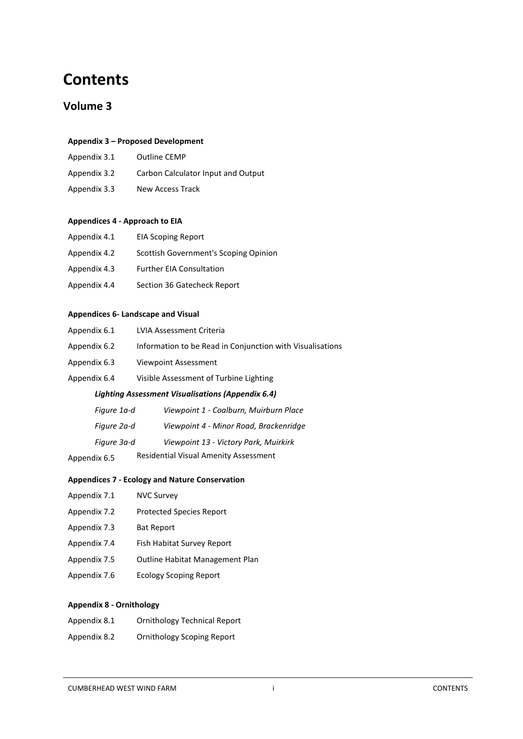# **Contents**

# **Volume 3**

#### **Appendix 3 – Proposed Development**

- Appendix 3.1 Outline CEMP
- Appendix 3.2 Carbon Calculator Input and Output
- Appendix 3.3 New Access Track

#### **Appendices 4 - Approach to EIA**

| Appendix 4.1 | <b>EIA Scoping Report</b>             |
|--------------|---------------------------------------|
| Appendix 4.2 | Scottish Government's Scoping Opinion |
| Appendix 4.3 | <b>Further EIA Consultation</b>       |
| Appendix 4.4 | Section 36 Gatecheck Report           |
|              |                                       |

## **Appendices 6- Landscape and Visual**

| <b>Lighting Assessment Visualisations (Appendix 6.4)</b> |                                                           |  |
|----------------------------------------------------------|-----------------------------------------------------------|--|
| Appendix 6.4                                             | Visible Assessment of Turbine Lighting                    |  |
| Appendix 6.3                                             | Viewpoint Assessment                                      |  |
| Appendix 6.2                                             | Information to be Read in Conjunction with Visualisations |  |
| Appendix 6.1                                             | LVIA Assessment Criteria                                  |  |

| Figure 1a-d  | Viewpoint 1 - Coalburn, Muirburn Place       |
|--------------|----------------------------------------------|
| Figure 2a-d  | Viewpoint 4 - Minor Road, Brackenridge       |
| Figure 3a-d  | Viewpoint 13 - Victory Park, Muirkirk        |
| Appendix 6.5 | <b>Residential Visual Amenity Assessment</b> |

# **Appendices 7 - Ecology and Nature Conservation**

- Appendix 7.1 NVC Survey
- Appendix 7.2 Protected Species Report
- Appendix 7.3 Bat Report
- 1.1.16 Appendix 7.4 Fish Habitat Survey Report
- Appendix 7.5 Outline Habitat Management Plan
- Appendix 7.6 Ecology Scoping Report

# **Appendix 8 - Ornithology**

| Appendix 8.1 | <b>Ornithology Technical Report</b> |
|--------------|-------------------------------------|
| Appendix 8.2 | Ornithology Scoping Report          |